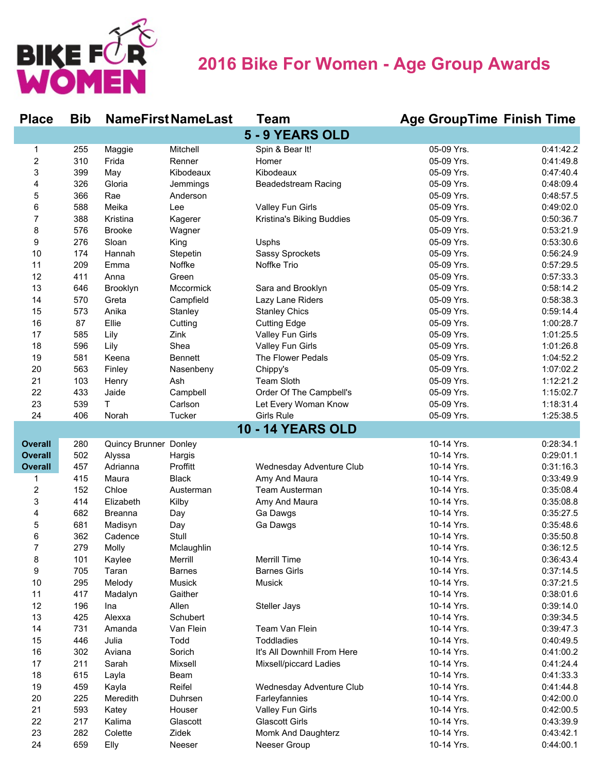

## **2016 Bike For Women - Age Group Awards**

| <b>Place</b>            | <b>Bib</b> |                       | <b>NameFirstNameLast</b> | <b>Team</b>                 | <b>Age GroupTime Finish Time</b> |           |
|-------------------------|------------|-----------------------|--------------------------|-----------------------------|----------------------------------|-----------|
|                         |            |                       |                          | 5 - 9 YEARS OLD             |                                  |           |
| 1                       | 255        | Maggie                | Mitchell                 | Spin & Bear It!             | 05-09 Yrs.                       | 0:41:42.2 |
| $\overline{c}$          | 310        | Frida                 | Renner                   | Homer                       | 05-09 Yrs.                       | 0:41:49.8 |
| 3                       | 399        | May                   | Kibodeaux                | Kibodeaux                   | 05-09 Yrs.                       | 0:47:40.4 |
| 4                       | 326        | Gloria                | Jemmings                 | <b>Beadedstream Racing</b>  | 05-09 Yrs.                       | 0:48:09.4 |
| 5                       | 366        | Rae                   | Anderson                 |                             | 05-09 Yrs.                       | 0:48:57.5 |
| 6                       | 588        | Meika                 | Lee                      | Valley Fun Girls            | 05-09 Yrs.                       | 0:49:02.0 |
| 7                       | 388        | Kristina              | Kagerer                  | Kristina's Biking Buddies   | 05-09 Yrs.                       | 0:50:36.7 |
| 8                       | 576        | <b>Brooke</b>         | Wagner                   |                             | 05-09 Yrs.                       | 0:53:21.9 |
| 9                       | 276        | Sloan                 | King                     | Usphs                       | 05-09 Yrs.                       | 0:53:30.6 |
| 10                      | 174        | Hannah                | Stepetin                 | <b>Sassy Sprockets</b>      | 05-09 Yrs.                       | 0:56:24.9 |
| 11                      | 209        | Emma                  | Noffke                   | Noffke Trio                 | 05-09 Yrs.                       | 0:57:29.5 |
| 12                      | 411        | Anna                  | Green                    |                             | 05-09 Yrs.                       | 0:57:33.3 |
| 13                      | 646        | Brooklyn              | Mccormick                | Sara and Brooklyn           | 05-09 Yrs.                       | 0:58:14.2 |
| 14                      | 570        | Greta                 | Campfield                | Lazy Lane Riders            | 05-09 Yrs.                       | 0:58:38.3 |
| 15                      | 573        | Anika                 | Stanley                  | <b>Stanley Chics</b>        | 05-09 Yrs.                       | 0:59:14.4 |
| 16                      | 87         | Ellie                 | Cutting                  | <b>Cutting Edge</b>         | 05-09 Yrs.                       | 1:00:28.7 |
| 17                      | 585        | Lily                  | Zink                     | Valley Fun Girls            | 05-09 Yrs.                       | 1:01:25.5 |
| 18                      | 596        | Lily                  | Shea                     | Valley Fun Girls            | 05-09 Yrs.                       | 1:01:26.8 |
| 19                      | 581        | Keena                 | <b>Bennett</b>           | The Flower Pedals           | 05-09 Yrs.                       | 1:04:52.2 |
| 20                      | 563        | Finley                | Nasenbeny                | Chippy's                    | 05-09 Yrs.                       | 1:07:02.2 |
| 21                      | 103        | Henry                 | Ash                      | Team Sloth                  | 05-09 Yrs.                       | 1:12:21.2 |
| 22                      | 433        | Jaide                 | Campbell                 | Order Of The Campbell's     | 05-09 Yrs.                       | 1:15:02.7 |
| 23                      | 539        | T.                    | Carlson                  | Let Every Woman Know        | 05-09 Yrs.                       | 1:18:31.4 |
| 24                      | 406        | Norah                 | Tucker                   | <b>Girls Rule</b>           | 05-09 Yrs.                       | 1:25:38.5 |
|                         |            |                       |                          | <b>10 - 14 YEARS OLD</b>    |                                  |           |
| <b>Overall</b>          | 280        | Quincy Brunner Donley |                          |                             | 10-14 Yrs.                       | 0:28:34.1 |
| <b>Overall</b>          | 502        | Alyssa                | Hargis                   |                             | 10-14 Yrs.                       | 0:29:01.1 |
| <b>Overall</b>          | 457        | Adrianna              | Proffitt                 | Wednesday Adventure Club    | 10-14 Yrs.                       | 0:31:16.3 |
| 1                       | 415        | Maura                 | <b>Black</b>             | Amy And Maura               | 10-14 Yrs.                       | 0:33:49.9 |
| $\overline{\mathbf{c}}$ | 152        | Chloe                 | Austerman                | Team Austerman              | 10-14 Yrs.                       | 0:35:08.4 |
| 3                       | 414        | Elizabeth             | Kilby                    | Amy And Maura               | 10-14 Yrs.                       | 0:35:08.8 |
| 4                       | 682        | <b>Breanna</b>        | Day                      | Ga Dawgs                    | 10-14 Yrs.                       | 0:35:27.5 |
| 5                       | 681        | Madisyn               | Day                      | Ga Dawgs                    | 10-14 Yrs.                       | 0:35:48.6 |
| 6                       | 362        | Cadence               | Stull                    |                             | 10-14 Yrs.                       | 0:35:50.8 |
| 7                       | 279        | Molly                 | Mclaughlin               |                             | 10-14 Yrs.                       | 0:36:12.5 |
| 8                       | 101        | Kaylee                | Merrill                  | Merrill Time                | 10-14 Yrs.                       | 0:36:43.4 |
| 9                       | 705        | Taran                 | <b>Barnes</b>            | <b>Barnes Girls</b>         | 10-14 Yrs.                       | 0:37:14.5 |
| 10                      | 295        | Melody                | Musick                   | <b>Musick</b>               | 10-14 Yrs.                       | 0:37:21.5 |
| 11                      | 417        | Madalyn               | Gaither                  |                             | 10-14 Yrs.                       | 0:38:01.6 |
| 12                      | 196        | Ina                   | Allen                    | Steller Jays                | 10-14 Yrs.                       | 0:39:14.0 |
| 13                      | 425        | Alexxa                | Schubert                 |                             | 10-14 Yrs.                       | 0:39:34.5 |
| 14                      | 731        | Amanda                | Van Flein                | Team Van Flein              | 10-14 Yrs.                       | 0:39:47.3 |
| 15                      | 446        | Julia                 | Todd                     | <b>Toddladies</b>           | 10-14 Yrs.                       | 0:40:49.5 |
| 16                      | 302        | Aviana                | Sorich                   | It's All Downhill From Here | 10-14 Yrs.                       | 0:41:00.2 |
| 17                      | 211        | Sarah                 | Mixsell                  | Mixsell/piccard Ladies      | 10-14 Yrs.                       | 0:41:24.4 |
| 18                      | 615        | Layla                 | Beam                     |                             | 10-14 Yrs.                       | 0:41:33.3 |
|                         |            |                       |                          |                             |                                  |           |
| 19                      | 459        | Kayla                 | Reifel                   | Wednesday Adventure Club    | 10-14 Yrs.                       | 0:41:44.8 |
| 20                      | 225        | Meredith              | Duhrsen                  | Farleyfannies               | 10-14 Yrs.                       | 0:42:00.0 |
| 21                      | 593        | Katey                 | Houser                   | Valley Fun Girls            | 10-14 Yrs.                       | 0:42:00.5 |
| 22                      | 217        | Kalima                | Glascott                 | <b>Glascott Girls</b>       | 10-14 Yrs.                       | 0:43:39.9 |
| 23                      | 282        | Colette               | Zidek                    | Momk And Daughterz          | 10-14 Yrs.                       | 0:43:42.1 |
| 24                      | 659        | Elly                  | Neeser                   | Neeser Group                | 10-14 Yrs.                       | 0:44:00.1 |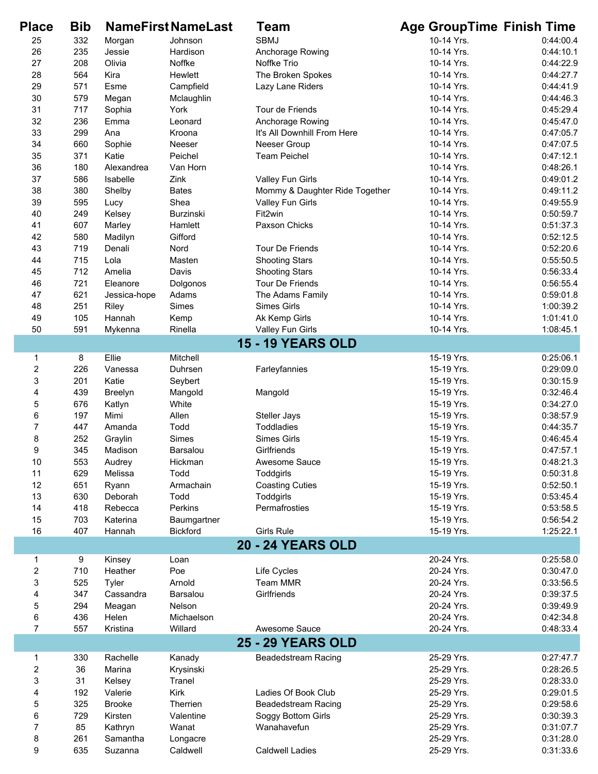| <b>Place</b> | <b>Bib</b> |               | <b>NameFirstNameLast</b> | Team                           | <b>Age GroupTime Finish Time</b> |           |
|--------------|------------|---------------|--------------------------|--------------------------------|----------------------------------|-----------|
| 25           | 332        | Morgan        | Johnson                  | <b>SBMJ</b>                    | 10-14 Yrs.                       | 0:44:00.4 |
| 26           | 235        | Jessie        | Hardison                 | Anchorage Rowing               | 10-14 Yrs.                       | 0:44:10.1 |
| 27           | 208        | Olivia        | Noffke                   | Noffke Trio                    | 10-14 Yrs.                       | 0:44:22.9 |
| 28           | 564        | Kira          | Hewlett                  | The Broken Spokes              | 10-14 Yrs.                       | 0:44:27.7 |
| 29           | 571        | Esme          | Campfield                | Lazy Lane Riders               | 10-14 Yrs.                       | 0:44:41.9 |
| 30           | 579        | Megan         | Mclaughlin               |                                | 10-14 Yrs.                       | 0:44:46.3 |
| 31           | 717        | Sophia        | York                     | Tour de Friends                | 10-14 Yrs.                       | 0:45:29.4 |
| 32           | 236        | Emma          | Leonard                  | Anchorage Rowing               | 10-14 Yrs.                       | 0:45:47.0 |
| 33           | 299        | Ana           | Kroona                   | It's All Downhill From Here    | 10-14 Yrs.                       | 0:47:05.7 |
| 34           | 660        | Sophie        | Neeser                   | Neeser Group                   | 10-14 Yrs.                       | 0:47:07.5 |
| 35           | 371        | Katie         | Peichel                  | <b>Team Peichel</b>            | 10-14 Yrs.                       | 0:47:12.1 |
| 36           | 180        | Alexandrea    | Van Horn                 |                                | 10-14 Yrs.                       | 0:48:26.1 |
| 37           | 586        | Isabelle      | Zink                     | Valley Fun Girls               | 10-14 Yrs.                       | 0:49:01.2 |
| 38           | 380        | Shelby        | <b>Bates</b>             | Mommy & Daughter Ride Together | 10-14 Yrs.                       | 0:49:11.2 |
| 39           | 595        | Lucy          | Shea                     | Valley Fun Girls               | 10-14 Yrs.                       | 0:49:55.9 |
| 40           | 249        | Kelsey        | Burzinski                | Fit2win                        | 10-14 Yrs.                       | 0:50:59.7 |
| 41           | 607        | Marley        | Hamlett                  | Paxson Chicks                  | 10-14 Yrs.                       | 0:51:37.3 |
| 42           | 580        | Madilyn       | Gifford                  |                                | 10-14 Yrs.                       | 0:52:12.5 |
| 43           | 719        | Denali        | Nord                     | Tour De Friends                | 10-14 Yrs.                       | 0:52:20.6 |
| 44           | 715        | Lola          | Masten                   | <b>Shooting Stars</b>          | 10-14 Yrs.                       | 0:55:50.5 |
| 45           | 712        | Amelia        | Davis                    | <b>Shooting Stars</b>          | 10-14 Yrs.                       | 0:56:33.4 |
| 46           | 721        | Eleanore      | Dolgonos                 | Tour De Friends                | 10-14 Yrs.                       | 0:56:55.4 |
| 47           | 621        | Jessica-hope  | Adams                    | The Adams Family               | 10-14 Yrs.                       | 0:59:01.8 |
| 48           | 251        | Riley         | Simes                    | <b>Simes Girls</b>             | 10-14 Yrs.                       | 1:00:39.2 |
| 49           | 105        | Hannah        | Kemp                     | Ak Kemp Girls                  | 10-14 Yrs.                       | 1:01:41.0 |
| 50           | 591        | Mykenna       | Rinella                  | Valley Fun Girls               | 10-14 Yrs.                       | 1:08:45.1 |
|              |            |               |                          | <b>15 - 19 YEARS OLD</b>       |                                  |           |
| 1            | 8          | Ellie         | Mitchell                 |                                | 15-19 Yrs.                       | 0:25:06.1 |
| $\mathbf 2$  | 226        | Vanessa       | Duhrsen                  | Farleyfannies                  | 15-19 Yrs.                       | 0:29:09.0 |
| 3            | 201        | Katie         | Seybert                  |                                | 15-19 Yrs.                       | 0:30:15.9 |
| 4            | 439        | Breelyn       | Mangold                  | Mangold                        | 15-19 Yrs.                       | 0:32:46.4 |
| 5            | 676        | Katlyn        | White                    |                                | 15-19 Yrs.                       | 0:34:27.0 |
| 6            | 197        | Mimi          | Allen                    | Steller Jays                   | 15-19 Yrs.                       | 0:38:57.9 |
| 7            | 447        | Amanda        | Todd                     | Toddladies                     | 15-19 Yrs.                       | 0:44:35.7 |
| 8            | 252        | Graylin       | Simes                    | <b>Simes Girls</b>             | 15-19 Yrs.                       | 0:46:45.4 |
| 9            | 345        | Madison       | Barsalou                 | Girlfriends                    | 15-19 Yrs.                       | 0:47:57.1 |
| 10           | 553        | Audrey        | Hickman                  | Awesome Sauce                  | 15-19 Yrs.                       | 0:48:21.3 |
| 11           | 629        | Melissa       | Todd                     | Toddgirls                      | 15-19 Yrs.                       | 0:50:31.8 |
| 12           | 651        | Ryann         | Armachain                | <b>Coasting Cuties</b>         | 15-19 Yrs.                       | 0:52:50.1 |
| 13           | 630        | Deborah       | Todd                     | Toddgirls                      | 15-19 Yrs.                       | 0:53:45.4 |
| 14           | 418        | Rebecca       | Perkins                  | Permafrosties                  | 15-19 Yrs.                       | 0:53:58.5 |
| 15           | 703        | Katerina      | Baumgartner              |                                | 15-19 Yrs.                       | 0:56:54.2 |
| 16           | 407        | Hannah        | <b>Bickford</b>          | <b>Girls Rule</b>              | 15-19 Yrs.                       | 1:25:22.1 |
|              |            |               |                          | <b>20 - 24 YEARS OLD</b>       |                                  |           |
| 1            | 9          | Kinsey        | Loan                     |                                | 20-24 Yrs.                       | 0:25:58.0 |
| 2            | 710        | Heather       | Poe                      | Life Cycles                    | 20-24 Yrs.                       | 0:30:47.0 |
| 3            | 525        | Tyler         | Arnold                   | <b>Team MMR</b>                | 20-24 Yrs.                       | 0:33:56.5 |
| 4            | 347        | Cassandra     | Barsalou                 | Girlfriends                    | 20-24 Yrs.                       | 0:39:37.5 |
| 5            | 294        | Meagan        | Nelson                   |                                | 20-24 Yrs.                       | 0:39:49.9 |
| 6            | 436        | Helen         | Michaelson               |                                | 20-24 Yrs.                       | 0:42:34.8 |
| 7            | 557        | Kristina      | Willard                  | Awesome Sauce                  | 20-24 Yrs.                       | 0:48:33.4 |
|              |            |               |                          | <b>25 - 29 YEARS OLD</b>       |                                  |           |
| 1            | 330        | Rachelle      | Kanady                   | <b>Beadedstream Racing</b>     | 25-29 Yrs.                       | 0:27:47.7 |
| 2            | 36         | Marina        | Krysinski                |                                | 25-29 Yrs.                       | 0:28:26.5 |
| 3            | 31         | Kelsey        | Tranel                   |                                | 25-29 Yrs.                       | 0:28:33.0 |
| 4            | 192        | Valerie       | Kirk                     | Ladies Of Book Club            | 25-29 Yrs.                       | 0:29:01.5 |
| 5            | 325        | <b>Brooke</b> | Therrien                 | <b>Beadedstream Racing</b>     | 25-29 Yrs.                       | 0:29:58.6 |
| 6            | 729        | Kirsten       | Valentine                | Soggy Bottom Girls             | 25-29 Yrs.                       | 0:30:39.3 |
| 7            | 85         | Kathryn       | Wanat                    | Wanahavefun                    | 25-29 Yrs.                       | 0:31:07.7 |
| 8            | 261        | Samantha      | Longacre                 |                                | 25-29 Yrs.                       | 0:31:28.0 |
| 9            | 635        | Suzanna       | Caldwell                 | <b>Caldwell Ladies</b>         | 25-29 Yrs.                       | 0:31:33.6 |
|              |            |               |                          |                                |                                  |           |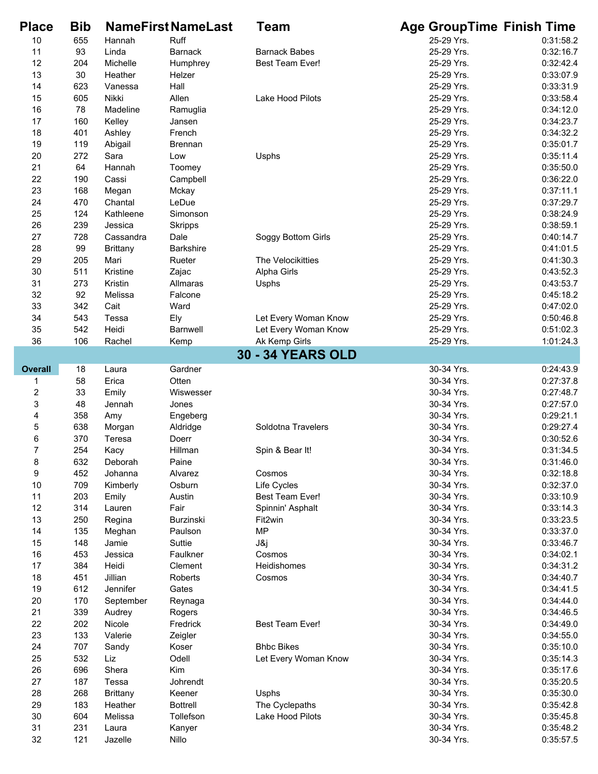| <b>Place</b>   | <b>Bib</b> |                 | <b>NameFirst NameLast</b> | Team                     | <b>Age GroupTime Finish Time</b> |                        |
|----------------|------------|-----------------|---------------------------|--------------------------|----------------------------------|------------------------|
| 10             | 655        | Hannah          | Ruff                      |                          | 25-29 Yrs.                       | 0:31:58.2              |
| 11             | 93         | Linda           | <b>Barnack</b>            | <b>Barnack Babes</b>     | 25-29 Yrs.                       | 0:32:16.7              |
| 12             | 204        | Michelle        | Humphrey                  | Best Team Ever!          | 25-29 Yrs.                       | 0:32:42.4              |
| 13             | 30         | Heather         | Helzer                    |                          | 25-29 Yrs.                       | 0:33:07.9              |
| 14             | 623        | Vanessa         | Hall                      |                          | 25-29 Yrs.                       | 0:33:31.9              |
| 15             | 605        | Nikki           | Allen                     | Lake Hood Pilots         | 25-29 Yrs.                       | 0:33:58.4              |
| 16             | 78         | Madeline        | Ramuglia                  |                          | 25-29 Yrs.                       | 0:34:12.0              |
| 17             | 160        | Kelley          | Jansen                    |                          | 25-29 Yrs.                       | 0:34:23.7              |
| 18             | 401        | Ashley          | French                    |                          | 25-29 Yrs.                       | 0:34:32.2              |
| 19             | 119        | Abigail         | <b>Brennan</b>            |                          | 25-29 Yrs.                       | 0:35:01.7              |
| 20             | 272<br>64  | Sara            | Low                       | Usphs                    | 25-29 Yrs.<br>25-29 Yrs.         | 0:35:11.4<br>0:35:50.0 |
| 21<br>22       | 190        | Hannah<br>Cassi | Toomey<br>Campbell        |                          | 25-29 Yrs.                       | 0:36:22.0              |
| 23             | 168        | Megan           | Mckay                     |                          | 25-29 Yrs.                       | 0:37:11.1              |
| 24             | 470        | Chantal         | LeDue                     |                          | 25-29 Yrs.                       | 0:37:29.7              |
| 25             | 124        | Kathleene       | Simonson                  |                          | 25-29 Yrs.                       | 0:38:24.9              |
| 26             | 239        | Jessica         | <b>Skripps</b>            |                          | 25-29 Yrs.                       | 0:38:59.1              |
| 27             | 728        | Cassandra       | Dale                      | Soggy Bottom Girls       | 25-29 Yrs.                       | 0:40:14.7              |
| 28             | 99         | <b>Brittany</b> | <b>Barkshire</b>          |                          | 25-29 Yrs.                       | 0:41:01.5              |
| 29             | 205        | Mari            | Rueter                    | The Velocikitties        | 25-29 Yrs.                       | 0:41:30.3              |
| 30             | 511        | Kristine        | Zajac                     | Alpha Girls              | 25-29 Yrs.                       | 0:43:52.3              |
| 31             | 273        | Kristin         | Allmaras                  | Usphs                    | 25-29 Yrs.                       | 0:43:53.7              |
| 32             | 92         | Melissa         | Falcone                   |                          | 25-29 Yrs.                       | 0:45:18.2              |
| 33             | 342        | Cait            | Ward                      |                          | 25-29 Yrs.                       | 0:47:02.0              |
| 34             | 543        | Tessa           | Ely                       | Let Every Woman Know     | 25-29 Yrs.                       | 0:50:46.8              |
| 35             | 542        | Heidi           | <b>Barnwell</b>           | Let Every Woman Know     | 25-29 Yrs.                       | 0:51:02.3              |
| 36             | 106        | Rachel          | Kemp                      | Ak Kemp Girls            | 25-29 Yrs.                       | 1:01:24.3              |
|                |            |                 |                           | <b>30 - 34 YEARS OLD</b> |                                  |                        |
| <b>Overall</b> | 18         | Laura           | Gardner                   |                          | 30-34 Yrs.                       | 0:24:43.9              |
| 1              | 58         | Erica           | Otten                     |                          | 30-34 Yrs.                       | 0:27:37.8              |
| 2              | 33         | Emily           | Wiswesser                 |                          | 30-34 Yrs.                       | 0:27:48.7              |
| 3              | 48         | Jennah          | Jones                     |                          | 30-34 Yrs.                       | 0:27:57.0              |
| 4              | 358        | Amy             | Engeberg                  |                          | 30-34 Yrs.                       | 0:29:21.1              |
| 5              | 638        | Morgan          | Aldridge                  | Soldotna Travelers       | 30-34 Yrs.                       | 0:29:27.4              |
| 6              | 370        | Teresa          | Doerr                     |                          | 30-34 Yrs.                       | 0:30:52.6              |
| $\overline{7}$ | 254        | Kacy            | Hillman                   | Spin & Bear It!          | 30-34 Yrs.                       | 0:31:34.5              |
| 8              | 632        | Deborah         | Paine                     |                          | 30-34 Yrs.                       | 0:31:46.0              |
| 9              | 452        | Johanna         | Alvarez                   | Cosmos                   | 30-34 Yrs.                       | 0:32:18.8              |
| 10             | 709        | Kimberly        | Osburn                    | Life Cycles              | 30-34 Yrs.                       | 0:32:37.0              |
| 11             | 203        | Emily           | Austin                    | <b>Best Team Ever!</b>   | 30-34 Yrs.                       | 0:33:10.9              |
| 12             | 314        | Lauren          | Fair                      | Spinnin' Asphalt         | 30-34 Yrs.                       | 0:33:14.3              |
| 13<br>14       | 250<br>135 | Regina          | Burzinski<br>Paulson      | Fit2win<br><b>MP</b>     | 30-34 Yrs.<br>30-34 Yrs.         | 0:33:23.5<br>0:33:37.0 |
| 15             | 148        | Meghan<br>Jamie | Suttie                    | J&j                      | 30-34 Yrs.                       | 0:33:46.7              |
| 16             | 453        | Jessica         | Faulkner                  | Cosmos                   | 30-34 Yrs.                       | 0:34:02.1              |
| 17             | 384        | Heidi           | Clement                   | Heidishomes              | 30-34 Yrs.                       | 0:34:31.2              |
| 18             | 451        | Jillian         | Roberts                   | Cosmos                   | 30-34 Yrs.                       | 0:34:40.7              |
| 19             | 612        | Jennifer        | Gates                     |                          | 30-34 Yrs.                       | 0:34:41.5              |
| 20             | 170        | September       | Reynaga                   |                          | 30-34 Yrs.                       | 0:34:44.0              |
| 21             | 339        | Audrey          | Rogers                    |                          | 30-34 Yrs.                       | 0:34:46.5              |
| 22             | 202        | Nicole          | Fredrick                  | <b>Best Team Ever!</b>   | 30-34 Yrs.                       | 0:34:49.0              |
| 23             | 133        | Valerie         | Zeigler                   |                          | 30-34 Yrs.                       | 0:34:55.0              |
| 24             | 707        | Sandy           | Koser                     | <b>Bhbc Bikes</b>        | 30-34 Yrs.                       | 0:35:10.0              |
| 25             | 532        | Liz             | Odell                     | Let Every Woman Know     | 30-34 Yrs.                       | 0:35:14.3              |
| 26             | 696        | Shera           | Kim                       |                          | 30-34 Yrs.                       | 0:35:17.6              |
| 27             | 187        | Tessa           | Johrendt                  |                          | 30-34 Yrs.                       | 0:35:20.5              |
| 28             | 268        | <b>Brittany</b> | Keener                    | Usphs                    | 30-34 Yrs.                       | 0:35:30.0              |
| 29             | 183        | Heather         | <b>Bottrell</b>           | The Cyclepaths           | 30-34 Yrs.                       | 0:35:42.8              |
| $30\,$         | 604        | Melissa         | Tollefson                 | Lake Hood Pilots         | 30-34 Yrs.                       | 0:35:45.8              |
| 31             | 231        | Laura           | Kanyer                    |                          | 30-34 Yrs.                       | 0:35:48.2              |
| 32             | 121        | Jazelle         | Nillo                     |                          | 30-34 Yrs.                       | 0:35:57.5              |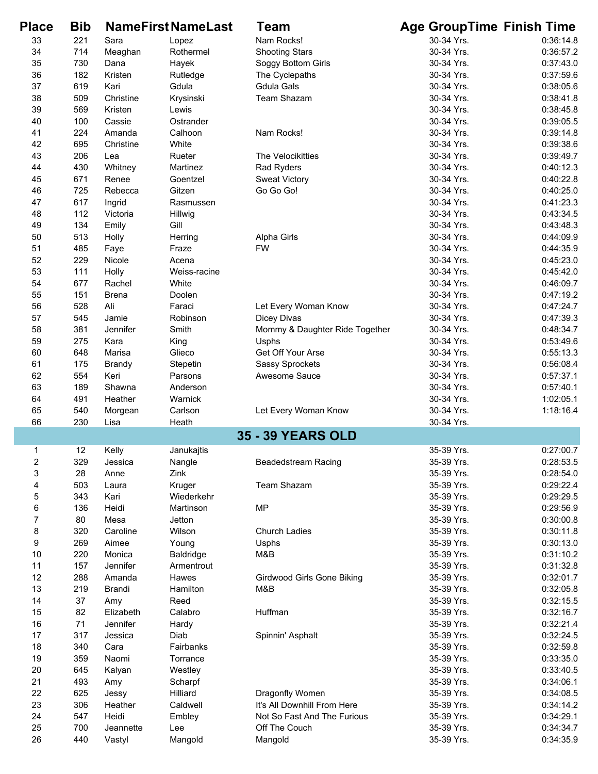| <b>Place</b>   | <b>Bib</b> |                 | <b>NameFirstNameLast</b> | Team                              | <b>Age GroupTime Finish Time</b> |           |
|----------------|------------|-----------------|--------------------------|-----------------------------------|----------------------------------|-----------|
| 33             | 221        | Sara            | Lopez                    | Nam Rocks!                        | 30-34 Yrs.                       | 0:36:14.8 |
| 34             | 714        | Meaghan         | Rothermel                | <b>Shooting Stars</b>             | 30-34 Yrs.                       | 0:36:57.2 |
| 35             | 730        | Dana            | Hayek                    | Soggy Bottom Girls                | 30-34 Yrs.                       | 0:37:43.0 |
| 36             | 182        | Kristen         | Rutledge                 | The Cyclepaths                    | 30-34 Yrs.                       | 0:37:59.6 |
| 37             | 619        | Kari            | Gdula                    | <b>Gdula Gals</b>                 | 30-34 Yrs.                       | 0:38:05.6 |
| 38             | 509        | Christine       | Krysinski                | Team Shazam                       | 30-34 Yrs.                       | 0:38:41.8 |
| 39             | 569        | Kristen         | Lewis                    |                                   | 30-34 Yrs.                       | 0:38:45.8 |
| 40             | 100        | Cassie          | Ostrander                |                                   | 30-34 Yrs.                       | 0:39:05.5 |
| 41             | 224        | Amanda          | Calhoon                  | Nam Rocks!                        | 30-34 Yrs.                       | 0:39:14.8 |
| 42             | 695        | Christine       | White                    |                                   | 30-34 Yrs.                       | 0:39:38.6 |
| 43             | 206        | Lea             | Rueter                   | The Velocikitties                 | 30-34 Yrs.                       | 0:39:49.7 |
| 44             | 430        | Whitney         | Martinez                 | Rad Ryders                        | 30-34 Yrs.                       | 0:40:12.3 |
| 45             | 671        | Renee           | Goentzel                 | <b>Sweat Victory</b>              | 30-34 Yrs.                       | 0:40:22.8 |
| 46             | 725        | Rebecca         | Gitzen                   | Go Go Go!                         | 30-34 Yrs.                       | 0:40:25.0 |
| 47             | 617        | Ingrid          | Rasmussen                |                                   | 30-34 Yrs.                       | 0:41:23.3 |
| 48             | 112        | Victoria        | Hillwig                  |                                   | 30-34 Yrs.                       | 0:43:34.5 |
| 49             | 134        | Emily           | Gill                     |                                   | 30-34 Yrs.                       | 0:43:48.3 |
| 50             | 513        | Holly           | Herring                  | Alpha Girls                       | 30-34 Yrs.                       | 0:44:09.9 |
| 51             | 485        | Faye            | Fraze                    | <b>FW</b>                         | 30-34 Yrs.                       | 0:44:35.9 |
| 52             | 229        | Nicole          | Acena                    |                                   | 30-34 Yrs.                       | 0:45:23.0 |
| 53             | 111        | Holly           | Weiss-racine             |                                   | 30-34 Yrs.                       | 0:45:42.0 |
| 54             | 677        | Rachel          | White                    |                                   | 30-34 Yrs.                       | 0:46:09.7 |
| 55             | 151        | <b>Brena</b>    | Doolen                   |                                   | 30-34 Yrs.                       | 0:47:19.2 |
| 56             | 528        | Ali             | Faraci                   | Let Every Woman Know              | 30-34 Yrs.                       | 0:47:24.7 |
| 57             | 545        | Jamie           | Robinson                 | Dicey Divas                       | 30-34 Yrs.                       | 0:47:39.3 |
| 58             | 381        | Jennifer        | Smith                    | Mommy & Daughter Ride Together    | 30-34 Yrs.                       | 0:48:34.7 |
| 59             | 275        | Kara            | King                     | Usphs                             | 30-34 Yrs.                       | 0:53:49.6 |
| 60             | 648        | Marisa          | Glieco                   | Get Off Your Arse                 | 30-34 Yrs.                       | 0:55:13.3 |
| 61             | 175        |                 |                          |                                   | 30-34 Yrs.                       | 0:56:08.4 |
|                | 554        | <b>Brandy</b>   | Stepetin                 | <b>Sassy Sprockets</b>            | 30-34 Yrs.                       |           |
| 62             |            | Keri            | Parsons                  | Awesome Sauce                     |                                  | 0:57:37.1 |
| 63             | 189        | Shawna          | Anderson                 |                                   | 30-34 Yrs.                       | 0:57:40.1 |
| 64             | 491        | Heather         | Warnick                  |                                   | 30-34 Yrs.                       | 1:02:05.1 |
| 65<br>66       | 540<br>230 | Morgean<br>Lisa | Carlson<br>Heath         | Let Every Woman Know              | 30-34 Yrs.<br>30-34 Yrs.         | 1:18:16.4 |
|                |            |                 |                          | <b>35 - 39 YEARS OLD</b>          |                                  |           |
| 1              | 12         | Kelly           | Janukajtis               |                                   | 35-39 Yrs.                       | 0:27:00.7 |
| 2              | 329        | Jessica         | Nangle                   | <b>Beadedstream Racing</b>        | 35-39 Yrs.                       | 0:28:53.5 |
| 3              | 28         | Anne            | Zink                     |                                   | 35-39 Yrs.                       | 0:28:54.0 |
| 4              | 503        | Laura           | Kruger                   | Team Shazam                       | 35-39 Yrs.                       | 0:29:22.4 |
| 5              | 343        | Kari            | Wiederkehr               |                                   | 35-39 Yrs.                       | 0:29:29.5 |
| 6              | 136        | Heidi           | Martinson                | <b>MP</b>                         | 35-39 Yrs.                       | 0:29:56.9 |
| $\overline{7}$ | 80         | Mesa            | Jetton                   |                                   | 35-39 Yrs.                       | 0:30:00.8 |
| 8              | 320        | Caroline        | Wilson                   | <b>Church Ladies</b>              | 35-39 Yrs.                       | 0:30:11.8 |
| 9              | 269        | Aimee           | Young                    | Usphs                             | 35-39 Yrs.                       | 0:30:13.0 |
| 10             | 220        | Monica          | <b>Baldridge</b>         | M&B                               | 35-39 Yrs.                       | 0:31:10.2 |
| 11             | 157        | Jennifer        | Armentrout               |                                   | 35-39 Yrs.                       | 0:31:32.8 |
| 12             | 288        | Amanda          | Hawes                    | <b>Girdwood Girls Gone Biking</b> | 35-39 Yrs.                       | 0:32:01.7 |
| 13             | 219        | Brandi          | Hamilton                 | M&B                               | 35-39 Yrs.                       | 0:32:05.8 |
|                |            |                 | Reed                     |                                   |                                  |           |
| 14<br>15       | 37<br>82   | Amy             |                          |                                   | 35-39 Yrs.                       | 0:32:15.5 |
|                |            | Elizabeth       | Calabro                  | Huffman                           | 35-39 Yrs.                       | 0:32:16.7 |
| 16             | 71<br>317  | Jennifer        | Hardy                    |                                   | 35-39 Yrs.                       | 0:32:21.4 |
| 17             |            | Jessica         | Diab                     | Spinnin' Asphalt                  | 35-39 Yrs.                       | 0:32:24.5 |
| 18             | 340        | Cara            | Fairbanks                |                                   | 35-39 Yrs.                       | 0:32:59.8 |
| 19             | 359        | Naomi           | Torrance                 |                                   | 35-39 Yrs.                       | 0:33:35.0 |
| 20             | 645        | Kalyan          | Westley                  |                                   | 35-39 Yrs.                       | 0:33:40.5 |
| 21             | 493        | Amy             | Scharpf                  |                                   | 35-39 Yrs.                       | 0:34:06.1 |
| 22             | 625        | Jessy           | Hilliard                 | Dragonfly Women                   | 35-39 Yrs.                       | 0:34:08.5 |
| 23             | 306        | Heather         | Caldwell                 | It's All Downhill From Here       | 35-39 Yrs.                       | 0:34:14.2 |
| 24             | 547        | Heidi           | Embley                   | Not So Fast And The Furious       | 35-39 Yrs.                       | 0:34:29.1 |
| 25             | 700        | Jeannette       | Lee                      | Off The Couch                     | 35-39 Yrs.                       | 0:34:34.7 |
| 26             | 440        | Vastyl          | Mangold                  | Mangold                           | 35-39 Yrs.                       | 0:34:35.9 |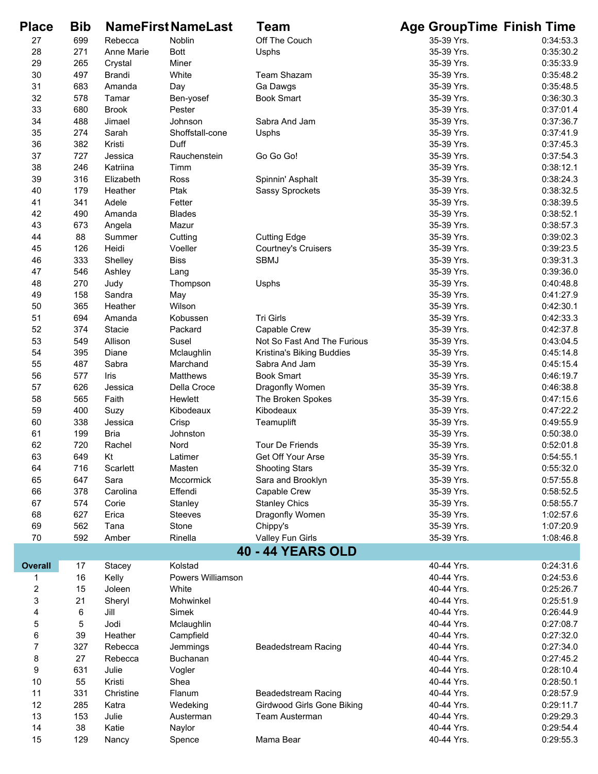| <b>Place</b>   | <b>Bib</b> |               | <b>NameFirstNameLast</b> | Team                        | <b>Age GroupTime Finish Time</b> |           |
|----------------|------------|---------------|--------------------------|-----------------------------|----------------------------------|-----------|
| 27             | 699        | Rebecca       | Noblin                   | Off The Couch               | 35-39 Yrs.                       | 0:34:53.3 |
| 28             | 271        | Anne Marie    | <b>Bott</b>              | Usphs                       | 35-39 Yrs.                       | 0:35:30.2 |
| 29             | 265        | Crystal       | Miner                    |                             | 35-39 Yrs.                       | 0:35:33.9 |
| 30             | 497        | <b>Brandi</b> | White                    | <b>Team Shazam</b>          | 35-39 Yrs.                       | 0:35:48.2 |
| 31             | 683        | Amanda        | Day                      | Ga Dawgs                    | 35-39 Yrs.                       | 0:35:48.5 |
| 32             | 578        | Tamar         | Ben-yosef                | <b>Book Smart</b>           | 35-39 Yrs.                       | 0:36:30.3 |
| 33             | 680        | <b>Brook</b>  | Pester                   |                             | 35-39 Yrs.                       | 0:37:01.4 |
| 34             | 488        | Jimael        | Johnson                  | Sabra And Jam               | 35-39 Yrs.                       | 0:37:36.7 |
| 35             | 274        | Sarah         | Shoffstall-cone          | Usphs                       | 35-39 Yrs.                       | 0:37:41.9 |
| 36             | 382        | Kristi        | Duff                     |                             | 35-39 Yrs.                       | 0:37:45.3 |
| 37             | 727        | Jessica       | Rauchenstein             | Go Go Go!                   | 35-39 Yrs.                       | 0:37:54.3 |
| 38             | 246        | Katriina      | Timm                     |                             | 35-39 Yrs.                       | 0:38:12.1 |
| 39             | 316        | Elizabeth     | Ross                     | Spinnin' Asphalt            | 35-39 Yrs.                       | 0:38:24.3 |
| 40             | 179        | Heather       | Ptak                     | <b>Sassy Sprockets</b>      | 35-39 Yrs.                       | 0:38:32.5 |
| 41             | 341        | Adele         | Fetter                   |                             | 35-39 Yrs.                       | 0:38:39.5 |
| 42             | 490        | Amanda        | <b>Blades</b>            |                             | 35-39 Yrs.                       | 0:38:52.1 |
| 43             | 673        | Angela        | Mazur                    |                             | 35-39 Yrs.                       | 0:38:57.3 |
| 44             | 88         | Summer        | Cutting                  | <b>Cutting Edge</b>         | 35-39 Yrs.                       | 0:39:02.3 |
| 45             | 126        | Heidi         | Voeller                  | <b>Courtney's Cruisers</b>  | 35-39 Yrs.                       | 0:39:23.5 |
| 46             | 333        | Shelley       | <b>Biss</b>              | <b>SBMJ</b>                 | 35-39 Yrs.                       | 0:39:31.3 |
| 47             | 546        | Ashley        | Lang                     |                             | 35-39 Yrs.                       | 0:39:36.0 |
| 48             | 270        | Judy          | Thompson                 | Usphs                       | 35-39 Yrs.                       | 0:40:48.8 |
| 49             | 158        | Sandra        | May                      |                             | 35-39 Yrs.                       | 0:41:27.9 |
| 50             | 365        | Heather       | Wilson                   |                             | 35-39 Yrs.                       | 0:42:30.1 |
| 51             | 694        | Amanda        | Kobussen                 | Tri Girls                   | 35-39 Yrs.                       | 0:42:33.3 |
| 52             | 374        | Stacie        | Packard                  | Capable Crew                | 35-39 Yrs.                       | 0:42:37.8 |
| 53             | 549        | Allison       | Susel                    | Not So Fast And The Furious | 35-39 Yrs.                       | 0:43:04.5 |
| 54             | 395        | Diane         | Mclaughlin               | Kristina's Biking Buddies   | 35-39 Yrs.                       | 0:45:14.8 |
| 55             | 487        | Sabra         | Marchand                 | Sabra And Jam               | 35-39 Yrs.                       | 0:45:15.4 |
| 56             | 577        | Iris          | Matthews                 | <b>Book Smart</b>           | 35-39 Yrs.                       | 0:46:19.7 |
| 57             | 626        | Jessica       | Della Croce              | Dragonfly Women             | 35-39 Yrs.                       | 0:46:38.8 |
| 58             | 565        | Faith         | Hewlett                  | The Broken Spokes           | 35-39 Yrs.                       | 0:47:15.6 |
| 59             | 400        | Suzy          | Kibodeaux                | Kibodeaux                   | 35-39 Yrs.                       | 0:47:22.2 |
| 60             | 338        | Jessica       | Crisp                    | Teamuplift                  | 35-39 Yrs.                       | 0:49:55.9 |
| 61             | 199        | <b>Bria</b>   | Johnston                 |                             | 35-39 Yrs.                       | 0:50:38.0 |
| 62             | 720        | Rachel        | Nord                     | <b>Tour De Friends</b>      | 35-39 Yrs.                       | 0:52:01.8 |
| 63             | 649        | Kt            | Latimer                  | Get Off Your Arse           | 35-39 Yrs.                       | 0:54:55.1 |
| 64             | 716        | Scarlett      | Masten                   | <b>Shooting Stars</b>       | 35-39 Yrs.                       | 0:55:32.0 |
| 65             | 647        | Sara          | Mccormick                | Sara and Brooklyn           | 35-39 Yrs.                       | 0:57:55.8 |
| 66             | 378        | Carolina      | Effendi                  | Capable Crew                | 35-39 Yrs.                       | 0:58:52.5 |
| 67             | 574        | Corie         | Stanley                  | <b>Stanley Chics</b>        | 35-39 Yrs.                       | 0:58:55.7 |
| 68             | 627        | Erica         | <b>Steeves</b>           | Dragonfly Women             | 35-39 Yrs.                       | 1:02:57.6 |
| 69             | 562        | Tana          | Stone                    | Chippy's                    | 35-39 Yrs.                       | 1:07:20.9 |
| 70             | 592        | Amber         | Rinella                  | Valley Fun Girls            | 35-39 Yrs.                       | 1:08:46.8 |
|                |            |               |                          | <b>40 - 44 YEARS OLD</b>    |                                  |           |
| <b>Overall</b> | 17         | Stacey        | Kolstad                  |                             | 40-44 Yrs.                       | 0:24:31.6 |
| 1              | 16         | Kelly         | Powers Williamson        |                             | 40-44 Yrs.                       | 0:24:53.6 |
| $\overline{c}$ | 15         | Joleen        | White                    |                             | 40-44 Yrs.                       | 0:25:26.7 |
| 3              | 21         | Sheryl        | Mohwinkel                |                             | 40-44 Yrs.                       | 0:25:51.9 |
| 4              | 6          | Jill          | Simek                    |                             | 40-44 Yrs.                       | 0:26:44.9 |
| 5              | 5          | Jodi          | Mclaughlin               |                             | 40-44 Yrs.                       | 0:27:08.7 |
| 6              | 39         | Heather       | Campfield                |                             | 40-44 Yrs.                       | 0:27:32.0 |
| $\overline{7}$ | 327        | Rebecca       | Jemmings                 | Beadedstream Racing         | 40-44 Yrs.                       | 0:27:34.0 |
| 8              | 27         | Rebecca       | Buchanan                 |                             | 40-44 Yrs.                       | 0:27:45.2 |
| 9              | 631        | Julie         | Vogler                   |                             | 40-44 Yrs.                       | 0:28:10.4 |
| 10             | 55         | Kristi        | Shea                     |                             | 40-44 Yrs.                       | 0:28:50.1 |
| 11             | 331        | Christine     | Flanum                   | <b>Beadedstream Racing</b>  | 40-44 Yrs.                       | 0:28:57.9 |
| 12             | 285        | Katra         | Wedeking                 | Girdwood Girls Gone Biking  | 40-44 Yrs.                       | 0:29:11.7 |
| 13             | 153        | Julie         | Austerman                | <b>Team Austerman</b>       | 40-44 Yrs.                       | 0:29:29.3 |
| 14             | 38         | Katie         | Naylor                   |                             | 40-44 Yrs.                       | 0:29:54.4 |
| 15             | 129        | Nancy         | Spence                   | Mama Bear                   | 40-44 Yrs.                       | 0:29:55.3 |
|                |            |               |                          |                             |                                  |           |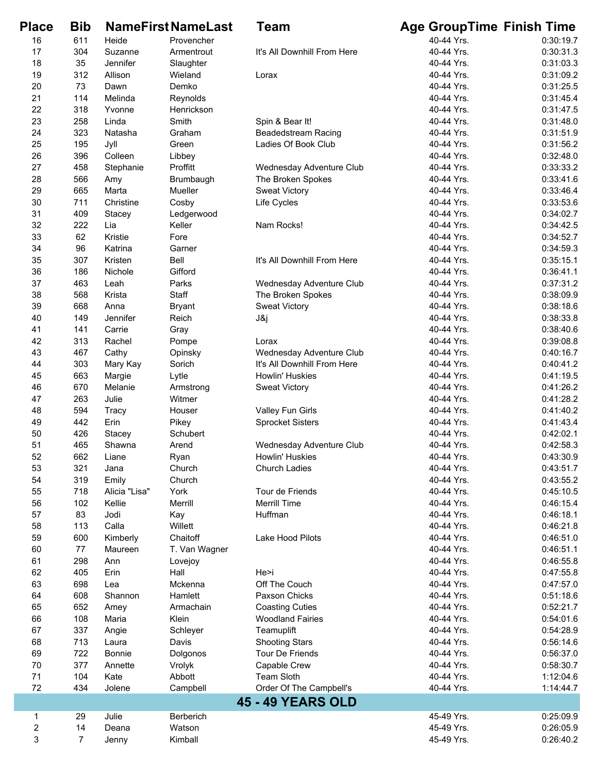| <b>Place</b>            | <b>Bib</b>     |               | <b>NameFirst NameLast</b> | Team                        | <b>Age GroupTime Finish Time</b> |           |
|-------------------------|----------------|---------------|---------------------------|-----------------------------|----------------------------------|-----------|
| 16                      | 611            | Heide         | Provencher                |                             | 40-44 Yrs.                       | 0:30:19.7 |
| 17                      | 304            | Suzanne       | Armentrout                | It's All Downhill From Here | 40-44 Yrs.                       | 0:30:31.3 |
| 18                      | 35             | Jennifer      | Slaughter                 |                             | 40-44 Yrs.                       | 0:31:03.3 |
| 19                      | 312            | Allison       | Wieland                   | Lorax                       | 40-44 Yrs.                       | 0:31:09.2 |
| 20                      | 73             | Dawn          | Demko                     |                             | 40-44 Yrs.                       | 0:31:25.5 |
| 21                      | 114            | Melinda       | Reynolds                  |                             | 40-44 Yrs.                       | 0:31:45.4 |
| 22                      | 318            | Yvonne        | Henrickson                |                             | 40-44 Yrs.                       | 0:31:47.5 |
| 23                      | 258            | Linda         | Smith                     | Spin & Bear It!             | 40-44 Yrs.                       | 0:31:48.0 |
| 24                      | 323            | Natasha       | Graham                    | <b>Beadedstream Racing</b>  | 40-44 Yrs.                       | 0:31:51.9 |
| 25                      | 195            | Jyll          | Green                     | Ladies Of Book Club         | 40-44 Yrs.                       | 0:31:56.2 |
| 26                      | 396            | Colleen       | Libbey                    |                             | 40-44 Yrs.                       | 0:32:48.0 |
| 27                      | 458            | Stephanie     | Proffitt                  | Wednesday Adventure Club    | 40-44 Yrs.                       | 0:33:33.2 |
| 28                      | 566            | Amy           | Brumbaugh                 | The Broken Spokes           | 40-44 Yrs.                       | 0:33:41.6 |
| 29                      | 665            | Marta         | Mueller                   | <b>Sweat Victory</b>        | 40-44 Yrs.                       | 0:33:46.4 |
| 30                      | 711            | Christine     | Cosby                     | Life Cycles                 | 40-44 Yrs.                       | 0:33:53.6 |
| 31                      | 409            | Stacey        | Ledgerwood                |                             | 40-44 Yrs.                       | 0:34:02.7 |
| 32                      | 222            | Lia           | Keller                    | Nam Rocks!                  | 40-44 Yrs.                       | 0:34:42.5 |
| 33                      | 62             | Kristie       | Fore                      |                             | 40-44 Yrs.                       | 0:34:52.7 |
| 34                      | 96             | Katrina       | Garner                    |                             | 40-44 Yrs.                       | 0:34:59.3 |
| 35                      | 307            | Kristen       | Bell                      | It's All Downhill From Here | 40-44 Yrs.                       | 0:35:15.1 |
| 36                      | 186            | Nichole       | Gifford                   |                             | 40-44 Yrs.                       | 0:36:41.1 |
| 37                      | 463            | Leah          | Parks                     | Wednesday Adventure Club    | 40-44 Yrs.                       | 0:37:31.2 |
| 38                      | 568            | Krista        | Staff                     | The Broken Spokes           | 40-44 Yrs.                       | 0:38:09.9 |
| 39                      | 668            | Anna          | <b>Bryant</b>             | <b>Sweat Victory</b>        | 40-44 Yrs.                       | 0:38:18.6 |
| 40                      | 149            | Jennifer      | Reich                     | J&j                         | 40-44 Yrs.                       | 0:38:33.8 |
| 41                      | 141            | Carrie        | Gray                      |                             | 40-44 Yrs.                       | 0:38:40.6 |
| 42                      | 313            | Rachel        | Pompe                     | Lorax                       | 40-44 Yrs.                       | 0:39:08.8 |
| 43                      | 467            | Cathy         | Opinsky                   | Wednesday Adventure Club    | 40-44 Yrs.                       | 0:40:16.7 |
| 44                      | 303            | Mary Kay      | Sorich                    | It's All Downhill From Here | 40-44 Yrs.                       | 0:40:41.2 |
| 45                      | 663            | Margie        | Lytle                     | Howlin' Huskies             | 40-44 Yrs.                       | 0:41:19.5 |
| 46                      | 670            | Melanie       | Armstrong                 | <b>Sweat Victory</b>        | 40-44 Yrs.                       | 0:41:26.2 |
| 47                      | 263            | Julie         | Witmer                    |                             | 40-44 Yrs.                       | 0:41:28.2 |
| 48                      | 594            | <b>Tracy</b>  | Houser                    | Valley Fun Girls            | 40-44 Yrs.                       | 0:41:40.2 |
| 49                      | 442            | Erin          | Pikey                     | <b>Sprocket Sisters</b>     | 40-44 Yrs.                       | 0:41:43.4 |
| 50                      | 426            | Stacey        | Schubert                  |                             | 40-44 Yrs.                       | 0:42:02.1 |
| 51                      | 465            | Shawna        | Arend                     | Wednesday Adventure Club    | 40-44 Yrs.                       | 0:42:58.3 |
| 52                      | 662            | Liane         | Ryan                      | Howlin' Huskies             | 40-44 Yrs.                       | 0:43:30.9 |
| 53                      | 321            | Jana          | Church                    | <b>Church Ladies</b>        | 40-44 Yrs.                       | 0:43:51.7 |
| 54                      | 319            | Emily         | Church                    |                             | 40-44 Yrs.                       | 0:43:55.2 |
| 55                      | 718            | Alicia "Lisa" | York                      | Tour de Friends             | 40-44 Yrs.                       | 0:45:10.5 |
| 56                      | 102            | Kellie        | Merrill                   | <b>Merrill Time</b>         | 40-44 Yrs.                       | 0:46:15.4 |
| 57                      | 83             | Jodi          | Kay                       | Huffman                     | 40-44 Yrs.                       | 0:46:18.1 |
| 58                      | 113            | Calla         | Willett                   |                             | 40-44 Yrs.                       | 0:46:21.8 |
| 59                      | 600            | Kimberly      | Chaitoff                  | Lake Hood Pilots            | 40-44 Yrs.                       | 0:46:51.0 |
| 60                      | 77             | Maureen       | T. Van Wagner             |                             | 40-44 Yrs.                       | 0:46:51.1 |
| 61                      | 298            | Ann           | Lovejoy                   |                             | 40-44 Yrs.                       | 0:46:55.8 |
| 62                      | 405            | Erin          | Hall                      | He>i                        | 40-44 Yrs.                       | 0:47:55.8 |
| 63                      | 698            | Lea           | Mckenna                   | Off The Couch               | 40-44 Yrs.                       | 0:47:57.0 |
| 64                      | 608            | Shannon       | Hamlett                   | Paxson Chicks               | 40-44 Yrs.                       | 0:51:18.6 |
| 65                      | 652            | Amey          | Armachain                 | <b>Coasting Cuties</b>      | 40-44 Yrs.                       | 0:52:21.7 |
| 66                      | 108            | Maria         | Klein                     | <b>Woodland Fairies</b>     | 40-44 Yrs.                       | 0:54:01.6 |
| 67                      | 337            | Angie         | Schleyer                  | Teamuplift                  | 40-44 Yrs.                       | 0:54:28.9 |
| 68                      | 713            | Laura         | Davis                     | <b>Shooting Stars</b>       | 40-44 Yrs.                       | 0:56:14.6 |
| 69                      | 722            | Bonnie        | Dolgonos                  | Tour De Friends             | 40-44 Yrs.                       | 0:56:37.0 |
| 70                      | 377            | Annette       | Vrolyk                    | Capable Crew                | 40-44 Yrs.                       | 0:58:30.7 |
| 71                      | 104            | Kate          | Abbott                    | Team Sloth                  | 40-44 Yrs.                       | 1:12:04.6 |
| 72                      | 434            | Jolene        | Campbell                  | Order Of The Campbell's     | 40-44 Yrs.                       | 1:14:44.7 |
|                         |                |               |                           | <b>45 - 49 YEARS OLD</b>    |                                  |           |
| 1                       | 29             | Julie         | Berberich                 |                             | 45-49 Yrs.                       | 0:25:09.9 |
| $\overline{\mathbf{c}}$ | 14             | Deana         | Watson                    |                             | 45-49 Yrs.                       | 0:26:05.9 |
| 3                       | $\overline{7}$ | Jenny         | Kimball                   |                             | 45-49 Yrs.                       | 0:26:40.2 |
|                         |                |               |                           |                             |                                  |           |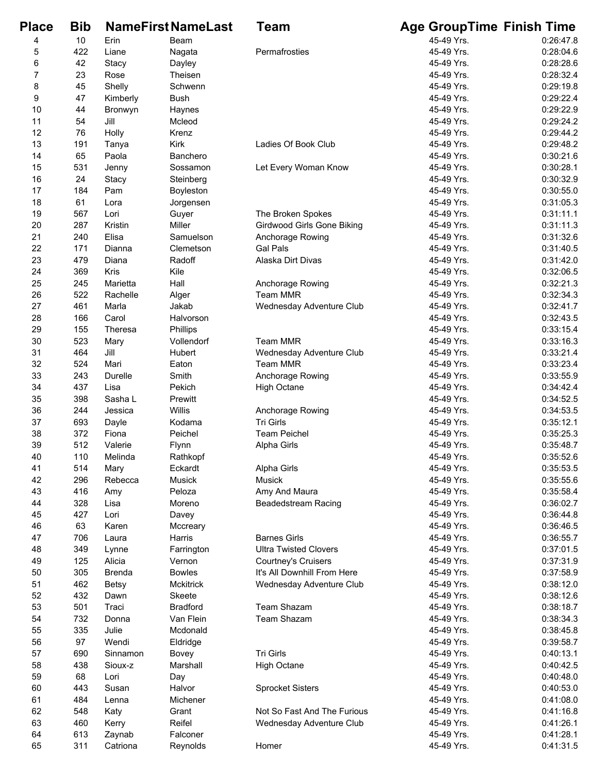| <b>Place</b>     | <b>Bib</b> |               | <b>NameFirstNameLast</b> | <b>Team</b>                       | <b>Age GroupTime Finish Time</b> |           |
|------------------|------------|---------------|--------------------------|-----------------------------------|----------------------------------|-----------|
| 4                | 10         | Erin          | Beam                     |                                   | 45-49 Yrs.                       | 0:26:47.8 |
| 5                | 422        | Liane         | Nagata                   | Permafrosties                     | 45-49 Yrs.                       | 0:28:04.6 |
| 6                | 42         | Stacy         | Dayley                   |                                   | 45-49 Yrs.                       | 0:28:28.6 |
| $\boldsymbol{7}$ | 23         | Rose          | Theisen                  |                                   | 45-49 Yrs.                       | 0:28:32.4 |
| 8                | 45         | Shelly        | Schwenn                  |                                   | 45-49 Yrs.                       | 0:29:19.8 |
| 9                | 47         | Kimberly      | <b>Bush</b>              |                                   | 45-49 Yrs.                       | 0:29:22.4 |
| 10               | 44         | Bronwyn       | Haynes                   |                                   | 45-49 Yrs.                       | 0:29:22.9 |
| 11               | 54         | Jill          | Mcleod                   |                                   | 45-49 Yrs.                       | 0:29:24.2 |
| 12               | 76         | Holly         | Krenz                    |                                   | 45-49 Yrs.                       | 0:29:44.2 |
| 13               | 191        | Tanya         | Kirk                     | Ladies Of Book Club               | 45-49 Yrs.                       | 0:29:48.2 |
| 14               | 65         | Paola         | Banchero                 |                                   | 45-49 Yrs.                       | 0:30:21.6 |
| 15               | 531        | Jenny         | Sossamon                 | Let Every Woman Know              | 45-49 Yrs.                       | 0:30:28.1 |
| 16               | 24         | Stacy         | Steinberg                |                                   | 45-49 Yrs.                       | 0:30:32.9 |
| 17               | 184        | Pam           | Boyleston                |                                   | 45-49 Yrs.                       | 0:30:55.0 |
| 18               | 61         | Lora          | Jorgensen                |                                   | 45-49 Yrs.                       | 0:31:05.3 |
| 19               | 567        | Lori          | Guyer                    | The Broken Spokes                 | 45-49 Yrs.                       | 0:31:11.1 |
| 20               | 287        | Kristin       | Miller                   | <b>Girdwood Girls Gone Biking</b> | 45-49 Yrs.                       | 0:31:11.3 |
| 21               | 240        | Elisa         | Samuelson                | Anchorage Rowing                  | 45-49 Yrs.                       | 0:31:32.6 |
| 22               | 171        | Dianna        | Clemetson                | <b>Gal Pals</b>                   | 45-49 Yrs.                       | 0:31:40.5 |
| 23               | 479        | Diana         | Radoff                   | Alaska Dirt Divas                 | 45-49 Yrs.                       | 0:31:42.0 |
| 24               | 369        | Kris          | Kile                     |                                   | 45-49 Yrs.                       | 0:32:06.5 |
| 25               | 245        | Marietta      | Hall                     | Anchorage Rowing                  | 45-49 Yrs.                       | 0:32:21.3 |
| 26               | 522        | Rachelle      | Alger                    | <b>Team MMR</b>                   | 45-49 Yrs.                       | 0:32:34.3 |
| 27               | 461        | Marla         | Jakab                    | Wednesday Adventure Club          | 45-49 Yrs.                       | 0:32:41.7 |
| 28               | 166        | Carol         | Halvorson                |                                   | 45-49 Yrs.                       | 0:32:43.5 |
| 29               | 155        | Theresa       | Phillips                 |                                   | 45-49 Yrs.                       | 0:33:15.4 |
| 30               | 523        | Mary          | Vollendorf               | <b>Team MMR</b>                   | 45-49 Yrs.                       | 0:33:16.3 |
| 31               | 464        | Jill          | Hubert                   | Wednesday Adventure Club          | 45-49 Yrs.                       | 0:33:21.4 |
| 32               | 524        | Mari          | Eaton                    | <b>Team MMR</b>                   | 45-49 Yrs.                       | 0:33:23.4 |
| 33               | 243        | Durelle       | Smith                    | Anchorage Rowing                  | 45-49 Yrs.                       | 0:33:55.9 |
| 34               | 437        | Lisa          | Pekich                   | <b>High Octane</b>                | 45-49 Yrs.                       | 0:34:42.4 |
| 35               | 398        | Sasha L       | Prewitt                  |                                   | 45-49 Yrs.                       | 0:34:52.5 |
| 36               | 244        | Jessica       | Willis                   | Anchorage Rowing                  | 45-49 Yrs.                       | 0:34:53.5 |
| 37               | 693        | Dayle         | Kodama                   | Tri Girls                         | 45-49 Yrs.                       | 0:35:12.1 |
| 38               | 372        | Fiona         | Peichel                  | <b>Team Peichel</b>               | 45-49 Yrs.                       | 0:35:25.3 |
| 39               | 512        | Valerie       | Flynn                    | Alpha Girls                       | 45-49 Yrs.                       | 0:35:48.7 |
| 40               | 110        | Melinda       | Rathkopf                 |                                   | 45-49 Yrs.                       | 0:35:52.6 |
| 41               | 514        | Mary          | Eckardt                  | Alpha Girls                       | 45-49 Yrs.                       | 0:35:53.5 |
| 42               | 296        | Rebecca       | Musick                   | Musick                            | 45-49 Yrs.                       | 0:35:55.6 |
| 43               | 416        | Amy           | Peloza                   | Amy And Maura                     | 45-49 Yrs.                       | 0:35:58.4 |
| 44               | 328        | Lisa          | Moreno                   | <b>Beadedstream Racing</b>        | 45-49 Yrs.                       | 0:36:02.7 |
| 45               | 427        | Lori          | Davey                    |                                   | 45-49 Yrs.                       | 0:36:44.8 |
| 46               | 63         | Karen         | Mccreary                 |                                   | 45-49 Yrs.                       | 0:36:46.5 |
| 47               | 706        | Laura         | <b>Harris</b>            | <b>Barnes Girls</b>               | 45-49 Yrs.                       | 0:36:55.7 |
| 48               | 349        | Lynne         | Farrington               | <b>Ultra Twisted Clovers</b>      | 45-49 Yrs.                       | 0:37:01.5 |
| 49               | 125        | Alicia        | Vernon                   | <b>Courtney's Cruisers</b>        | 45-49 Yrs.                       | 0:37:31.9 |
| 50               | 305        | <b>Brenda</b> | <b>Bowles</b>            | It's All Downhill From Here       | 45-49 Yrs.                       | 0:37:58.9 |
| 51               | 462        | <b>Betsy</b>  | Mckitrick                | Wednesday Adventure Club          | 45-49 Yrs.                       | 0:38:12.0 |
| 52               | 432        | Dawn          | Skeete                   |                                   | 45-49 Yrs.                       | 0:38:12.6 |
| 53               | 501        | Traci         | <b>Bradford</b>          | <b>Team Shazam</b>                | 45-49 Yrs.                       | 0:38:18.7 |
| 54               | 732        | Donna         | Van Flein                | <b>Team Shazam</b>                | 45-49 Yrs.                       | 0:38:34.3 |
| 55               | 335        | Julie         | Mcdonald                 |                                   | 45-49 Yrs.                       | 0:38:45.8 |
| 56               | 97         | Wendi         | Eldridge                 |                                   | 45-49 Yrs.                       | 0:39:58.7 |
| 57               | 690        | Sinnamon      | Bovey                    | Tri Girls                         | 45-49 Yrs.                       | 0:40:13.1 |
| 58               | 438        | Sioux-z       | Marshall                 | <b>High Octane</b>                | 45-49 Yrs.                       | 0:40:42.5 |
| 59               | 68         | Lori          | Day                      |                                   | 45-49 Yrs.                       | 0:40:48.0 |
| 60               | 443        | Susan         | Halvor                   | <b>Sprocket Sisters</b>           | 45-49 Yrs.                       | 0:40:53.0 |
| 61               | 484        | Lenna         | Michener                 |                                   | 45-49 Yrs.                       | 0:41:08.0 |
| 62               | 548        | Katy          | Grant                    | Not So Fast And The Furious       | 45-49 Yrs.                       | 0:41:16.8 |
| 63               | 460        | Kerry         | Reifel                   | Wednesday Adventure Club          | 45-49 Yrs.                       | 0:41:26.1 |
| 64               | 613        | Zaynab        | Falconer                 |                                   | 45-49 Yrs.                       | 0:41:28.1 |
| 65               | 311        | Catriona      | Reynolds                 | Homer                             | 45-49 Yrs.                       | 0:41:31.5 |
|                  |            |               |                          |                                   |                                  |           |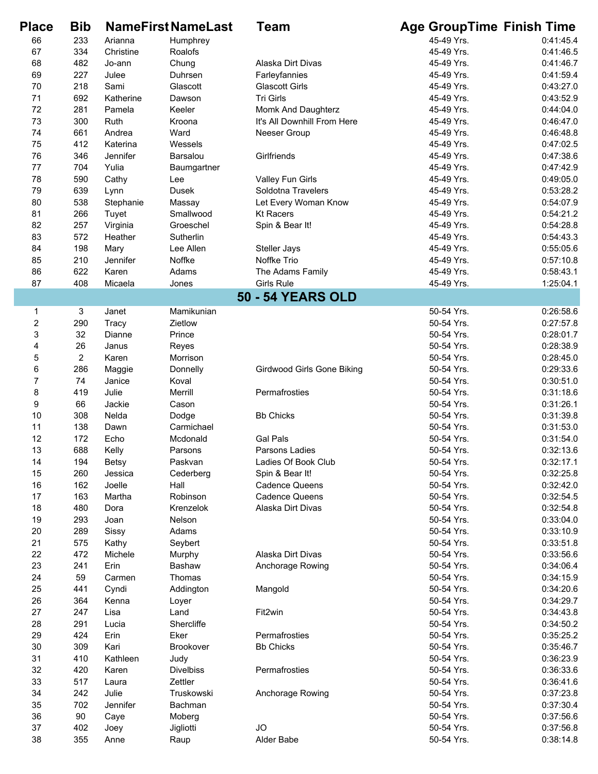| <b>Place</b>            | <b>Bib</b>     |              | <b>NameFirstNameLast</b> | Team                              | <b>Age GroupTime Finish Time</b> |           |
|-------------------------|----------------|--------------|--------------------------|-----------------------------------|----------------------------------|-----------|
| 66                      | 233            | Arianna      | Humphrey                 |                                   | 45-49 Yrs.                       | 0:41:45.4 |
| 67                      | 334            | Christine    | Roalofs                  |                                   | 45-49 Yrs.                       | 0:41:46.5 |
| 68                      | 482            | Jo-ann       | Chung                    | Alaska Dirt Divas                 | 45-49 Yrs.                       | 0:41:46.7 |
| 69                      | 227            | Julee        | Duhrsen                  | Farleyfannies                     | 45-49 Yrs.                       | 0:41:59.4 |
| 70                      | 218            | Sami         | Glascott                 | <b>Glascott Girls</b>             | 45-49 Yrs.                       | 0:43:27.0 |
| 71                      | 692            | Katherine    | Dawson                   | Tri Girls                         | 45-49 Yrs.                       | 0:43:52.9 |
| 72                      | 281            | Pamela       | Keeler                   | Momk And Daughterz                | 45-49 Yrs.                       | 0:44:04.0 |
| 73                      | 300            | Ruth         | Kroona                   | It's All Downhill From Here       | 45-49 Yrs.                       | 0:46:47.0 |
| 74                      | 661            | Andrea       | Ward                     | Neeser Group                      | 45-49 Yrs.                       | 0:46:48.8 |
| 75                      | 412            | Katerina     | Wessels                  |                                   | 45-49 Yrs.                       | 0:47:02.5 |
| 76                      | 346            | Jennifer     | Barsalou                 | Girlfriends                       | 45-49 Yrs.                       | 0:47:38.6 |
| 77                      | 704            | Yulia        | Baumgartner              |                                   | 45-49 Yrs.                       | 0:47:42.9 |
| 78                      | 590            | Cathy        | Lee                      | Valley Fun Girls                  | 45-49 Yrs.                       | 0:49:05.0 |
| 79                      | 639            | Lynn         | Dusek                    | Soldotna Travelers                | 45-49 Yrs.                       | 0:53:28.2 |
| 80                      | 538            | Stephanie    | Massay                   | Let Every Woman Know              | 45-49 Yrs.                       | 0:54:07.9 |
| 81                      | 266            | Tuyet        | Smallwood                | <b>Kt Racers</b>                  | 45-49 Yrs.                       | 0:54:21.2 |
| 82                      | 257            | Virginia     | Groeschel                | Spin & Bear It!                   | 45-49 Yrs.                       | 0:54:28.8 |
| 83                      | 572            | Heather      | Sutherlin                |                                   | 45-49 Yrs.                       | 0:54:43.3 |
| 84                      | 198            | Mary         | Lee Allen                | Steller Jays                      | 45-49 Yrs.                       | 0:55:05.6 |
| 85                      | 210            | Jennifer     | Noffke                   | Noffke Trio                       | 45-49 Yrs.                       | 0:57:10.8 |
| 86                      | 622            | Karen        | Adams                    | The Adams Family                  | 45-49 Yrs.                       | 0:58:43.1 |
| 87                      | 408            | Micaela      | Jones                    | <b>Girls Rule</b>                 | 45-49 Yrs.                       | 1:25:04.1 |
|                         |                |              |                          | <b>50 - 54 YEARS OLD</b>          |                                  |           |
|                         |                | Janet        | Mamikunian               |                                   | 50-54 Yrs.                       | 0:26:58.6 |
| 1                       | 3              |              |                          |                                   | 50-54 Yrs.                       | 0:27:57.8 |
| $\overline{\mathbf{c}}$ | 290            | <b>Tracy</b> | Zietlow                  |                                   |                                  |           |
| 3                       | 32             | Dianne       | Prince                   |                                   | 50-54 Yrs.                       | 0:28:01.7 |
| 4                       | 26             | Janus        | Reyes                    |                                   | 50-54 Yrs.                       | 0:28:38.9 |
| 5                       | $\overline{2}$ | Karen        | Morrison                 |                                   | 50-54 Yrs.                       | 0:28:45.0 |
| 6                       | 286            | Maggie       | Donnelly                 | <b>Girdwood Girls Gone Biking</b> | 50-54 Yrs.                       | 0:29:33.6 |
| $\overline{7}$          | 74             | Janice       | Koval                    |                                   | 50-54 Yrs.                       | 0:30:51.0 |
| 8                       | 419            | Julie        | Merrill                  | Permafrosties                     | 50-54 Yrs.                       | 0:31:18.6 |
| 9                       | 66             | Jackie       | Cason                    |                                   | 50-54 Yrs.                       | 0:31:26.1 |
| 10                      | 308            | Nelda        | Dodge                    | <b>Bb Chicks</b>                  | 50-54 Yrs.                       | 0:31:39.8 |
| 11                      | 138            | Dawn         | Carmichael               |                                   | 50-54 Yrs.                       | 0:31:53.0 |
| 12                      | 172            | Echo         | Mcdonald                 | <b>Gal Pals</b>                   | 50-54 Yrs.                       | 0:31:54.0 |
| 13                      | 688            | Kelly        | Parsons                  | Parsons Ladies                    | 50-54 Yrs.                       | 0:32:13.6 |
| 14                      | 194            | Betsy        | Paskvan                  | Ladies Of Book Club               | 50-54 Yrs.                       | 0:32:17.1 |
| 15                      | 260            | Jessica      | Cederberg                | Spin & Bear It!                   | 50-54 Yrs.                       | 0:32:25.8 |
| 16                      | 162            | Joelle       | Hall                     | <b>Cadence Queens</b>             | 50-54 Yrs.                       | 0:32:42.0 |
| 17                      | 163            | Martha       | Robinson                 | <b>Cadence Queens</b>             | 50-54 Yrs.                       | 0:32:54.5 |
| 18                      | 480            | Dora         | Krenzelok                | Alaska Dirt Divas                 | 50-54 Yrs.                       | 0:32:54.8 |
| 19                      | 293            | Joan         | Nelson                   |                                   | 50-54 Yrs.                       | 0:33:04.0 |
| 20                      | 289            | Sissy        | Adams                    |                                   | 50-54 Yrs.                       | 0:33:10.9 |
| 21                      | 575            | Kathy        | Seybert                  |                                   | 50-54 Yrs.                       | 0:33:51.8 |
| 22                      | 472            | Michele      | Murphy                   | Alaska Dirt Divas                 | 50-54 Yrs.                       | 0:33:56.6 |
| 23                      | 241            | Erin         | Bashaw                   | Anchorage Rowing                  | 50-54 Yrs.                       | 0:34:06.4 |
| 24                      | 59             | Carmen       | Thomas                   |                                   | 50-54 Yrs.                       | 0:34:15.9 |
| 25                      | 441            | Cyndi        | Addington                | Mangold                           | 50-54 Yrs.                       | 0:34:20.6 |
| 26                      | 364            | Kenna        | Loyer                    |                                   | 50-54 Yrs.                       | 0:34:29.7 |
| 27                      | 247            | Lisa         | Land                     | Fit2win                           | 50-54 Yrs.                       | 0:34:43.8 |
| 28                      | 291            | Lucia        | Shercliffe               |                                   | 50-54 Yrs.                       | 0:34:50.2 |
| 29                      | 424            | Erin         | Eker                     | Permafrosties                     | 50-54 Yrs.                       | 0:35:25.2 |
| $30\,$                  | 309            | Kari         | Brookover                | <b>Bb Chicks</b>                  | 50-54 Yrs.                       | 0:35:46.7 |
| 31                      | 410            | Kathleen     | Judy                     |                                   | 50-54 Yrs.                       | 0:36:23.9 |
| 32                      | 420            | Karen        | <b>Divelbiss</b>         | Permafrosties                     | 50-54 Yrs.                       | 0:36:33.6 |
| 33                      | 517            | Laura        | Zettler                  |                                   | 50-54 Yrs.                       | 0:36:41.6 |
| 34                      | 242            | Julie        | Truskowski               | Anchorage Rowing                  | 50-54 Yrs.                       | 0:37:23.8 |
| 35                      | 702            | Jennifer     | Bachman                  |                                   | 50-54 Yrs.                       | 0:37:30.4 |
| 36                      | 90             | Caye         | Moberg                   |                                   | 50-54 Yrs.                       | 0:37:56.6 |
| 37                      | 402            | Joey         | Jigliotti                | <b>JO</b>                         | 50-54 Yrs.                       | 0:37:56.8 |
| 38                      | 355            | Anne         | Raup                     | Alder Babe                        | 50-54 Yrs.                       | 0:38:14.8 |
|                         |                |              |                          |                                   |                                  |           |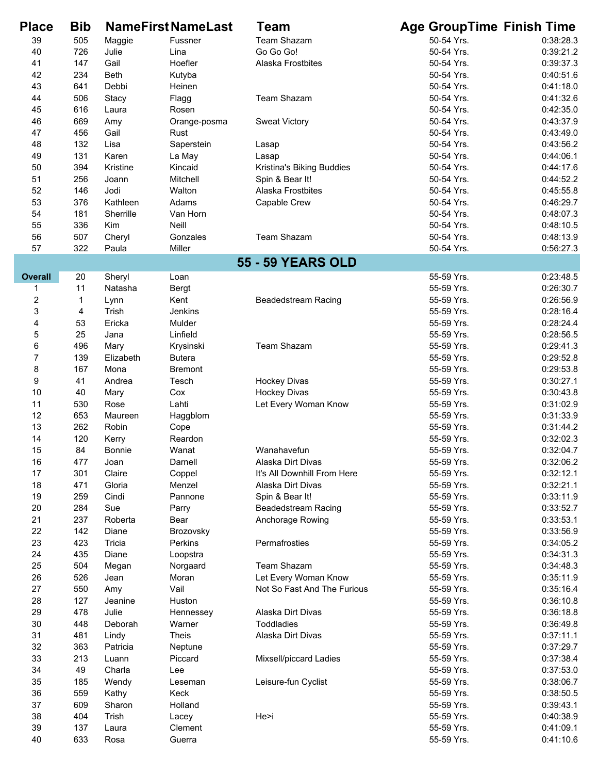| <b>Place</b>              | <b>Bib</b> |                  | <b>NameFirst NameLast</b> | <b>Team</b>                 | <b>Age GroupTime Finish Time</b> |                        |
|---------------------------|------------|------------------|---------------------------|-----------------------------|----------------------------------|------------------------|
| 39                        | 505        | Maggie           | Fussner                   | Team Shazam                 | 50-54 Yrs.                       | 0:38:28.3              |
| 40                        | 726        | Julie            | Lina                      | Go Go Go!                   | 50-54 Yrs.                       | 0:39:21.2              |
| 41                        | 147        | Gail             | Hoefler                   | Alaska Frostbites           | 50-54 Yrs.                       | 0:39:37.3              |
| 42                        | 234        | <b>Beth</b>      | Kutyba                    |                             | 50-54 Yrs.                       | 0:40:51.6              |
| 43                        | 641        | Debbi            | Heinen                    |                             | 50-54 Yrs.                       | 0:41:18.0              |
| 44                        | 506        | Stacy            | Flagg                     | <b>Team Shazam</b>          | 50-54 Yrs.                       | 0:41:32.6              |
| 45                        | 616        | Laura            | Rosen                     |                             | 50-54 Yrs.                       | 0:42:35.0              |
| 46                        | 669        | Amy              | Orange-posma              | <b>Sweat Victory</b>        | 50-54 Yrs.                       | 0:43:37.9              |
| 47                        | 456        | Gail             | Rust                      |                             | 50-54 Yrs.                       | 0:43:49.0              |
| 48                        | 132        | Lisa             | Saperstein                | Lasap                       | 50-54 Yrs.                       | 0:43:56.2              |
| 49                        | 131        | Karen            | La May                    | Lasap                       | 50-54 Yrs.                       | 0:44:06.1              |
| 50                        | 394        | Kristine         | Kincaid                   | Kristina's Biking Buddies   | 50-54 Yrs.                       | 0:44:17.6              |
| 51                        | 256        | Joann            | Mitchell                  | Spin & Bear It!             | 50-54 Yrs.                       | 0:44:52.2              |
| 52                        | 146        | Jodi             | Walton                    | Alaska Frostbites           | 50-54 Yrs.                       | 0:45:55.8              |
| 53                        | 376        | Kathleen         | Adams                     | Capable Crew                | 50-54 Yrs.                       | 0:46:29.7              |
| 54                        | 181        | Sherrille        | Van Horn                  |                             | 50-54 Yrs.                       | 0:48:07.3              |
| 55                        | 336        | Kim              | <b>Neill</b>              |                             | 50-54 Yrs.                       | 0:48:10.5              |
| 56                        | 507        | Cheryl           | Gonzales                  | Team Shazam                 | 50-54 Yrs.                       | 0:48:13.9              |
| 57                        | 322        | Paula            | Miller                    |                             | 50-54 Yrs.                       | 0:56:27.3              |
|                           |            |                  |                           | <b>55 - 59 YEARS OLD</b>    |                                  |                        |
| <b>Overall</b>            | 20         | Sheryl           | Loan                      |                             | 55-59 Yrs.                       | 0:23:48.5              |
| 1                         | 11         | Natasha          | <b>Bergt</b>              |                             | 55-59 Yrs.                       | 0:26:30.7              |
| $\boldsymbol{2}$          | 1          | Lynn             | Kent                      | <b>Beadedstream Racing</b>  | 55-59 Yrs.                       | 0:26:56.9              |
| $\ensuremath{\mathsf{3}}$ | 4          | Trish            | Jenkins                   |                             | 55-59 Yrs.                       | 0:28:16.4              |
| $\overline{\mathbf{4}}$   | 53         | Ericka           | Mulder                    |                             | 55-59 Yrs.                       | 0:28:24.4              |
| $\mathbf 5$               | 25         | Jana             | Linfield                  |                             | 55-59 Yrs.                       | 0:28:56.5              |
| 6                         | 496        | Mary             | Krysinski                 | Team Shazam                 | 55-59 Yrs.                       | 0:29:41.3              |
| $\boldsymbol{7}$          | 139        | Elizabeth        | <b>Butera</b>             |                             | 55-59 Yrs.                       | 0:29:52.8              |
| 8                         | 167        | Mona             | <b>Bremont</b>            |                             | 55-59 Yrs.                       | 0:29:53.8              |
| 9                         | 41         | Andrea           | Tesch                     | <b>Hockey Divas</b>         | 55-59 Yrs.                       | 0:30:27.1              |
| 10                        | 40         | Mary             | Cox                       | <b>Hockey Divas</b>         | 55-59 Yrs.                       | 0:30:43.8              |
| 11                        | 530<br>653 | Rose             | Lahti                     | Let Every Woman Know        | 55-59 Yrs.<br>55-59 Yrs.         | 0:31:02.9              |
| 12<br>13                  | 262        | Maureen<br>Robin | Haggblom                  |                             | 55-59 Yrs.                       | 0:31:33.9<br>0:31:44.2 |
| 14                        | 120        | Kerry            | Cope<br>Reardon           |                             | 55-59 Yrs.                       | 0:32:02.3              |
| 15                        | 84         | Bonnie           | Wanat                     | Wanahavefun                 | 55-59 Yrs.                       | 0:32:04.7              |
| 16                        | 477        | Joan             | Darnell                   | Alaska Dirt Divas           | 55-59 Yrs.                       | 0:32:06.2              |
| 17                        | 301        | Claire           | Coppel                    | It's All Downhill From Here | 55-59 Yrs.                       | 0:32:12.1              |
| 18                        | 471        | Gloria           | Menzel                    | Alaska Dirt Divas           | 55-59 Yrs.                       | 0:32:21.1              |
| 19                        | 259        | Cindi            | Pannone                   | Spin & Bear It!             | 55-59 Yrs.                       | 0:33:11.9              |
| 20                        | 284        | Sue              | Parry                     | <b>Beadedstream Racing</b>  | 55-59 Yrs.                       | 0:33:52.7              |
| 21                        | 237        | Roberta          | Bear                      | Anchorage Rowing            | 55-59 Yrs.                       | 0:33:53.1              |
| 22                        | 142        | Diane            | Brozovsky                 |                             | 55-59 Yrs.                       | 0:33:56.9              |
| 23                        | 423        | Tricia           | Perkins                   | Permafrosties               | 55-59 Yrs.                       | 0:34:05.2              |
| 24                        | 435        | Diane            | Loopstra                  |                             | 55-59 Yrs.                       | 0:34:31.3              |
| 25                        | 504        | Megan            | Norgaard                  | <b>Team Shazam</b>          | 55-59 Yrs.                       | 0:34:48.3              |
| 26                        | 526        | Jean             | Moran                     | Let Every Woman Know        | 55-59 Yrs.                       | 0:35:11.9              |
| 27                        | 550        | Amy              | Vail                      | Not So Fast And The Furious | 55-59 Yrs.                       | 0:35:16.4              |
| 28                        | 127        | Jeanine          | Huston                    |                             | 55-59 Yrs.                       | 0:36:10.8              |
| 29                        | 478        | Julie            | Hennessey                 | Alaska Dirt Divas           | 55-59 Yrs.                       | 0:36:18.8              |
| 30                        | 448        | Deborah          | Warner                    | <b>Toddladies</b>           | 55-59 Yrs.                       | 0:36:49.8              |
| 31                        | 481        | Lindy            | <b>Theis</b>              | Alaska Dirt Divas           | 55-59 Yrs.                       | 0:37:11.1              |
| 32                        | 363        | Patricia         | Neptune                   |                             | 55-59 Yrs.                       | 0:37:29.7              |
| 33                        | 213        | Luann            | Piccard                   | Mixsell/piccard Ladies      | 55-59 Yrs.                       | 0:37:38.4              |
| 34                        | 49         | Charla           | Lee                       |                             | 55-59 Yrs.                       | 0:37:53.0              |
| 35                        | 185        | Wendy            | Leseman                   | Leisure-fun Cyclist         | 55-59 Yrs.                       | 0:38:06.7              |
| 36                        | 559        | Kathy            | Keck                      |                             | 55-59 Yrs.                       | 0:38:50.5              |
| 37                        | 609        | Sharon           | Holland                   |                             | 55-59 Yrs.                       | 0:39:43.1              |
| 38                        | 404        | Trish            | Lacey                     | He>i                        | 55-59 Yrs.                       | 0:40:38.9              |
| 39                        | 137        | Laura            | Clement                   |                             | 55-59 Yrs.                       | 0:41:09.1              |
| 40                        | 633        | Rosa             | Guerra                    |                             | 55-59 Yrs.                       | 0:41:10.6              |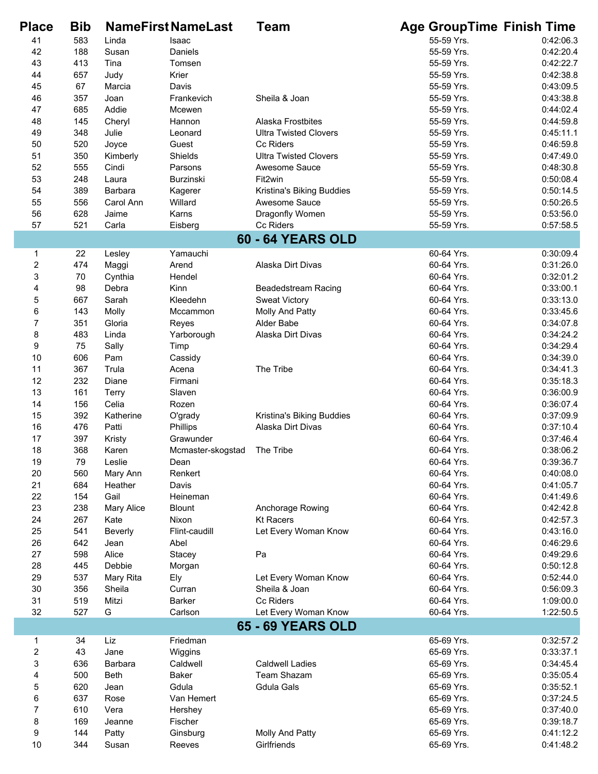| <b>Place</b>            | <b>Bib</b> |              | <b>NameFirst NameLast</b> | Team                         | <b>Age GroupTime Finish Time</b> |           |
|-------------------------|------------|--------------|---------------------------|------------------------------|----------------------------------|-----------|
| 41                      | 583        | Linda        | Isaac                     |                              | 55-59 Yrs.                       | 0:42:06.3 |
| 42                      | 188        | Susan        | Daniels                   |                              | 55-59 Yrs.                       | 0:42:20.4 |
| 43                      | 413        | Tina         | Tomsen                    |                              | 55-59 Yrs.                       | 0:42:22.7 |
| 44                      | 657        | Judy         | Krier                     |                              | 55-59 Yrs.                       | 0:42:38.8 |
| 45                      | 67         | Marcia       | Davis                     |                              | 55-59 Yrs.                       | 0:43:09.5 |
| 46                      | 357        | Joan         | Frankevich                | Sheila & Joan                | 55-59 Yrs.                       | 0:43:38.8 |
| 47                      | 685        | Addie        | Mcewen                    |                              | 55-59 Yrs.                       | 0:44:02.4 |
| 48                      | 145        | Cheryl       | Hannon                    | Alaska Frostbites            | 55-59 Yrs.                       | 0:44:59.8 |
| 49                      | 348        | Julie        | Leonard                   | <b>Ultra Twisted Clovers</b> | 55-59 Yrs.                       | 0:45:11.1 |
| 50                      | 520        | Joyce        | Guest                     | <b>Cc Riders</b>             | 55-59 Yrs.                       | 0:46:59.8 |
| 51                      | 350        | Kimberly     | Shields                   | <b>Ultra Twisted Clovers</b> | 55-59 Yrs.                       | 0:47:49.0 |
| 52                      | 555        | Cindi        | Parsons                   | Awesome Sauce                | 55-59 Yrs.                       | 0:48:30.8 |
| 53                      | 248        | Laura        | <b>Burzinski</b>          | Fit2win                      | 55-59 Yrs.                       | 0:50:08.4 |
| 54                      | 389        | Barbara      | Kagerer                   | Kristina's Biking Buddies    | 55-59 Yrs.                       | 0:50:14.5 |
| 55                      | 556        | Carol Ann    | Willard                   | Awesome Sauce                | 55-59 Yrs.                       | 0:50:26.5 |
| 56                      | 628        | Jaime        | Karns                     | Dragonfly Women              | 55-59 Yrs.                       | 0:53:56.0 |
| 57                      | 521        | Carla        | Eisberg                   | Cc Riders                    | 55-59 Yrs.                       | 0:57:58.5 |
|                         |            |              |                           | <b>60 - 64 YEARS OLD</b>     |                                  |           |
| 1                       | 22         | Lesley       | Yamauchi                  |                              | 60-64 Yrs.                       | 0:30:09.4 |
| 2                       | 474        | Maggi        | Arend                     | Alaska Dirt Divas            | 60-64 Yrs.                       | 0:31:26.0 |
| 3                       | 70         | Cynthia      | Hendel                    |                              | 60-64 Yrs.                       | 0:32:01.2 |
| 4                       | 98         | Debra        | Kinn                      | <b>Beadedstream Racing</b>   | 60-64 Yrs.                       | 0:33:00.1 |
| 5                       | 667        | Sarah        | Kleedehn                  | <b>Sweat Victory</b>         | 60-64 Yrs.                       | 0:33:13.0 |
| 6                       | 143        | Molly        | Mccammon                  | Molly And Patty              | 60-64 Yrs.                       | 0:33:45.6 |
| $\boldsymbol{7}$        | 351        | Gloria       | Reyes                     | Alder Babe                   | 60-64 Yrs.                       | 0:34:07.8 |
| 8                       | 483        | Linda        | Yarborough                | Alaska Dirt Divas            | 60-64 Yrs.                       | 0:34:24.2 |
| $\boldsymbol{9}$        | 75         | Sally        | Timp                      |                              | 60-64 Yrs.                       | 0:34:29.4 |
| 10                      | 606        | Pam          | Cassidy                   |                              | 60-64 Yrs.                       | 0:34:39.0 |
| 11                      | 367        | Trula        | Acena                     | The Tribe                    | 60-64 Yrs.                       | 0:34:41.3 |
| 12                      | 232        | Diane        | Firmani                   |                              | 60-64 Yrs.                       | 0:35:18.3 |
| 13                      | 161        | <b>Terry</b> | Slaven                    |                              | 60-64 Yrs.                       | 0:36:00.9 |
| 14                      | 156        | Celia        | Rozen                     |                              | 60-64 Yrs.                       | 0:36:07.4 |
| 15                      | 392        | Katherine    | O'grady                   | Kristina's Biking Buddies    | 60-64 Yrs.                       | 0:37:09.9 |
| 16                      | 476        | Patti        | Phillips                  | Alaska Dirt Divas            | 60-64 Yrs.                       | 0:37:10.4 |
| 17                      | 397        | Kristy       | Grawunder                 |                              | 60-64 Yrs.                       | 0:37:46.4 |
| 18                      | 368        | Karen        | Mcmaster-skogstad         | The Tribe                    | 60-64 Yrs.                       | 0:38:06.2 |
| 19                      | 79         | Leslie       | Dean                      |                              | 60-64 Yrs.                       | 0:39:36.7 |
| 20                      | 560        | Mary Ann     | Renkert                   |                              | 60-64 Yrs.                       | 0:40:08.0 |
| 21                      | 684        | Heather      | Davis                     |                              | 60-64 Yrs.                       | 0:41:05.7 |
| 22                      | 154        | Gail         | Heineman                  |                              | 60-64 Yrs.                       | 0:41:49.6 |
| 23                      | 238        | Mary Alice   | <b>Blount</b>             | Anchorage Rowing             | 60-64 Yrs.                       | 0:42:42.8 |
| 24                      | 267        | Kate         | Nixon                     | <b>Kt Racers</b>             | 60-64 Yrs.                       | 0:42:57.3 |
| 25                      | 541        | Beverly      | Flint-caudill             | Let Every Woman Know         | 60-64 Yrs.                       | 0:43:16.0 |
| 26                      | 642        | Jean         | Abel                      |                              | 60-64 Yrs.                       | 0:46:29.6 |
| 27                      | 598        | Alice        | Stacey                    | Pa                           | 60-64 Yrs.                       | 0:49:29.6 |
| 28                      | 445        | Debbie       | Morgan                    |                              | 60-64 Yrs.                       | 0:50:12.8 |
| 29                      | 537        | Mary Rita    | Ely                       | Let Every Woman Know         | 60-64 Yrs.                       | 0:52:44.0 |
| 30                      | 356        | Sheila       | Curran                    | Sheila & Joan                | 60-64 Yrs.                       | 0:56:09.3 |
| 31                      | 519        | Mitzi        | <b>Barker</b>             | Cc Riders                    | 60-64 Yrs.                       | 1:09:00.0 |
| 32                      | 527        | G            | Carlson                   | Let Every Woman Know         | 60-64 Yrs.                       | 1:22:50.5 |
|                         |            |              |                           | <b>65 - 69 YEARS OLD</b>     |                                  |           |
| 1                       | 34         | Liz          | Friedman                  |                              | 65-69 Yrs.                       | 0:32:57.2 |
| $\overline{\mathbf{c}}$ | 43         | Jane         | Wiggins                   |                              | 65-69 Yrs.                       | 0:33:37.1 |
| 3                       | 636        | Barbara      | Caldwell                  | <b>Caldwell Ladies</b>       | 65-69 Yrs.                       | 0:34:45.4 |
| 4                       | 500        | <b>Beth</b>  | Baker                     | <b>Team Shazam</b>           | 65-69 Yrs.                       | 0:35:05.4 |
| 5                       | 620        | Jean         | Gdula                     | Gdula Gals                   | 65-69 Yrs.                       | 0:35:52.1 |
| 6                       | 637        | Rose         | Van Hemert                |                              | 65-69 Yrs.                       | 0:37:24.5 |
| $\overline{7}$          | 610        | Vera         | Hershey                   |                              | 65-69 Yrs.                       | 0:37:40.0 |
| 8                       | 169        | Jeanne       | Fischer                   |                              | 65-69 Yrs.                       | 0:39:18.7 |
| 9                       | 144        | Patty        | Ginsburg                  | Molly And Patty              | 65-69 Yrs.                       | 0:41:12.2 |
| $10$                    | 344        | Susan        | Reeves                    | Girlfriends                  | 65-69 Yrs.                       | 0:41:48.2 |

I